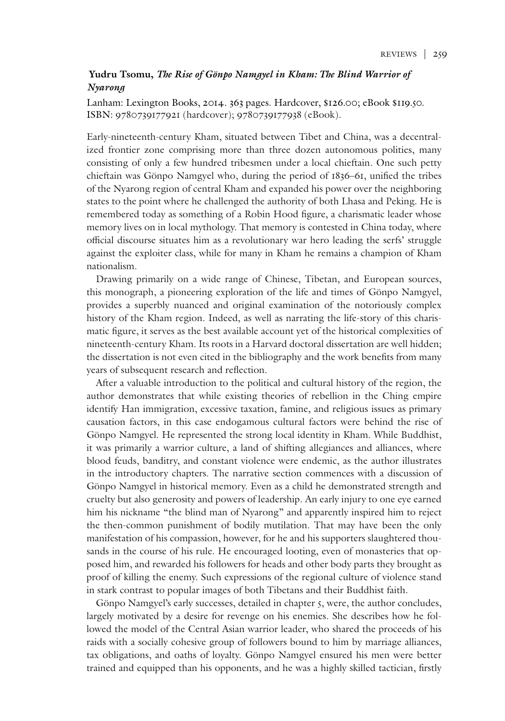## **Yudru Tsomu,** *The Rise of Gönpo Namgyel in Kham: The Blind Warrior of Nyarong*

Lanham: Lexington Books, 2014. 363 pages. Hardcover, \$126.00; eBook \$119.50. ISBN: 9780739177921 (hardcover); 9780739177938 (eBook).

Early-nineteenth-century Kham, situated between Tibet and China, was a decentralized frontier zone comprising more than three dozen autonomous polities, many consisting of only a few hundred tribesmen under a local chieftain. One such petty chieftain was Gönpo Namgyel who, during the period of 1836–61, unified the tribes of the Nyarong region of central Kham and expanded his power over the neighboring states to the point where he challenged the authority of both Lhasa and Peking. He is remembered today as something of a Robin Hood figure, a charismatic leader whose memory lives on in local mythology. That memory is contested in China today, where official discourse situates him as a revolutionary war hero leading the serfs' struggle against the exploiter class, while for many in Kham he remains a champion of Kham nationalism.

Drawing primarily on a wide range of Chinese, Tibetan, and European sources, this monograph, a pioneering exploration of the life and times of Gönpo Namgyel, provides a superbly nuanced and original examination of the notoriously complex history of the Kham region. Indeed, as well as narrating the life-story of this charismatic figure, it serves as the best available account yet of the historical complexities of nineteenth-century Kham. Its roots in a Harvard doctoral dissertation are well hidden; the dissertation is not even cited in the bibliography and the work benefits from many years of subsequent research and reflection.

After a valuable introduction to the political and cultural history of the region, the author demonstrates that while existing theories of rebellion in the Ching empire identify Han immigration, excessive taxation, famine, and religious issues as primary causation factors, in this case endogamous cultural factors were behind the rise of Gönpo Namgyel. He represented the strong local identity in Kham. While Buddhist, it was primarily a warrior culture, a land of shifting allegiances and alliances, where blood feuds, banditry, and constant violence were endemic, as the author illustrates in the introductory chapters. The narrative section commences with a discussion of Gönpo Namgyel in historical memory. Even as a child he demonstrated strength and cruelty but also generosity and powers of leadership. An early injury to one eye earned him his nickname "the blind man of Nyarong" and apparently inspired him to reject the then-common punishment of bodily mutilation. That may have been the only manifestation of his compassion, however, for he and his supporters slaughtered thousands in the course of his rule. He encouraged looting, even of monasteries that opposed him, and rewarded his followers for heads and other body parts they brought as proof of killing the enemy. Such expressions of the regional culture of violence stand in stark contrast to popular images of both Tibetans and their Buddhist faith.

Gönpo Namgyel's early successes, detailed in chapter 5, were, the author concludes, largely motivated by a desire for revenge on his enemies. She describes how he followed the model of the Central Asian warrior leader, who shared the proceeds of his raids with a socially cohesive group of followers bound to him by marriage alliances, tax obligations, and oaths of loyalty. Gönpo Namgyel ensured his men were better trained and equipped than his opponents, and he was a highly skilled tactician, firstly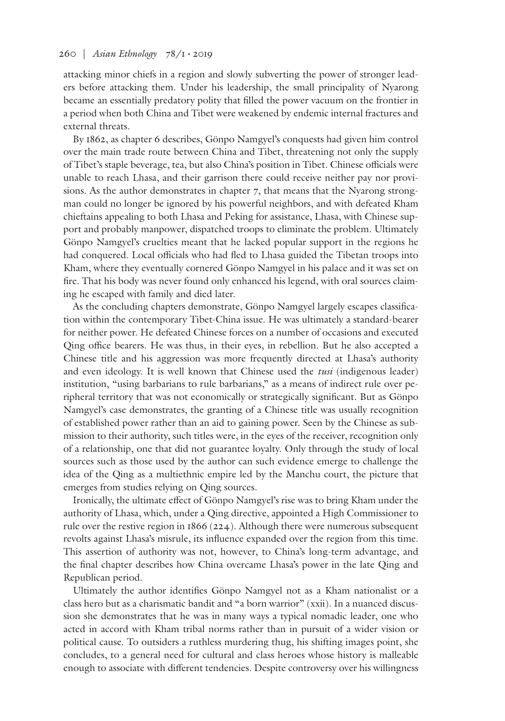attacking minor chiefs in a region and slowly subverting the power of stronger leaders before attacking them. Under his leadership, the small principality of Nyarong became an essentially predatory polity that filled the power vacuum on the frontier in a period when both China and Tibet were weakened by endemic internal fractures and external threats.

By 1862, as chapter 6 describes, Gönpo Namgyel's conquests had given him control over the main trade route between China and Tibet, threatening not only the supply of Tibet's staple beverage, tea, but also China's position in Tibet. Chinese officials were unable to reach Lhasa, and their garrison there could receive neither pay nor provisions. As the author demonstrates in chapter 7, that means that the Nyarong strongman could no longer be ignored by his powerful neighbors, and with defeated Kham chieftains appealing to both Lhasa and Peking for assistance, Lhasa, with Chinese support and probably manpower, dispatched troops to eliminate the problem. Ultimately Gönpo Namgyel's cruelties meant that he lacked popular support in the regions he had conquered. Local officials who had fled to Lhasa guided the Tibetan troops into Kham, where they eventually cornered Gönpo Namgyel in his palace and it was set on fire. That his body was never found only enhanced his legend, with oral sources claiming he escaped with family and died later.

As the concluding chapters demonstrate, Gönpo Namgyel largely escapes classification within the contemporary Tibet-China issue. He was ultimately a standard-bearer for neither power. He defeated Chinese forces on a number of occasions and executed Qing office bearers. He was thus, in their eyes, in rebellion. But he also accepted a Chinese title and his aggression was more frequently directed at Lhasa's authority and even ideology. It is well known that Chinese used the *tusi* (indigenous leader) institution, "using barbarians to rule barbarians," as a means of indirect rule over peripheral territory that was not economically or strategically significant. But as Gönpo Namgyel's case demonstrates, the granting of a Chinese title was usually recognition of established power rather than an aid to gaining power. Seen by the Chinese as submission to their authority, such titles were, in the eyes of the receiver, recognition only of a relationship, one that did not guarantee loyalty. Only through the study of local sources such as those used by the author can such evidence emerge to challenge the idea of the Qing as a multiethnic empire led by the Manchu court, the picture that emerges from studies relying on Qing sources.

Ironically, the ultimate effect of Gönpo Namgyel's rise was to bring Kham under the authority of Lhasa, which, under a Qing directive, appointed a High Commissioner to rule over the restive region in 1866 (224). Although there were numerous subsequent revolts against Lhasa's misrule, its influence expanded over the region from this time. This assertion of authority was not, however, to China's long-term advantage, and the final chapter describes how China overcame Lhasa's power in the late Qing and Republican period.

Ultimately the author identifies Gönpo Namgyel not as a Kham nationalist or a class hero but as a charismatic bandit and "a born warrior" (xxii). In a nuanced discussion she demonstrates that he was in many ways a typical nomadic leader, one who acted in accord with Kham tribal norms rather than in pursuit of a wider vision or political cause. To outsiders a ruthless murdering thug, his shifting images point, she concludes, to a general need for cultural and class heroes whose history is malleable enough to associate with different tendencies. Despite controversy over his willingness